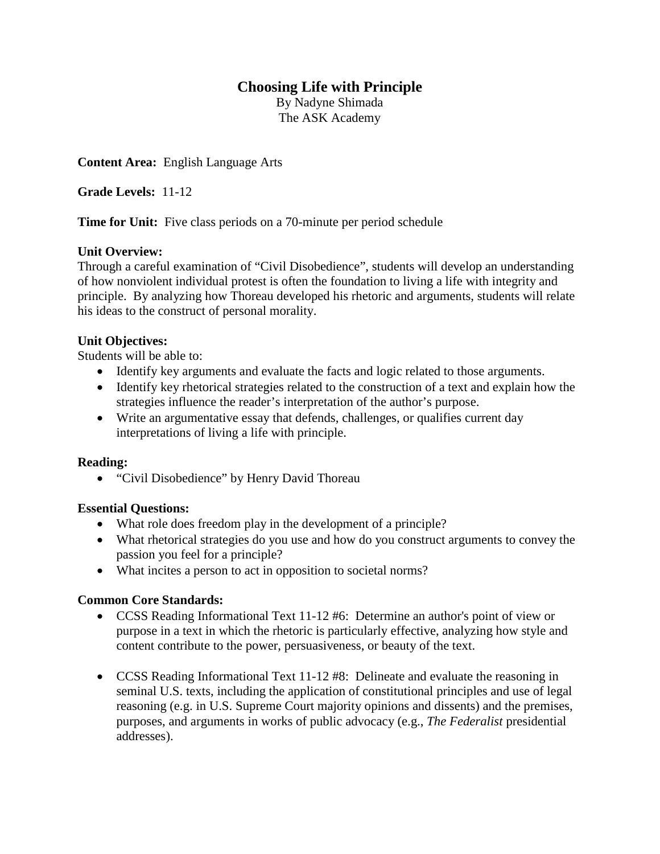## **Choosing Life with Principle**

By Nadyne Shimada The ASK Academy

**Content Area:** English Language Arts

**Grade Levels:** 11-12

**Time for Unit:** Five class periods on a 70-minute per period schedule

#### **Unit Overview:**

Through a careful examination of "Civil Disobedience", students will develop an understanding of how nonviolent individual protest is often the foundation to living a life with integrity and principle. By analyzing how Thoreau developed his rhetoric and arguments, students will relate his ideas to the construct of personal morality.

#### **Unit Objectives:**

Students will be able to:

- Identify key arguments and evaluate the facts and logic related to those arguments.
- Identify key rhetorical strategies related to the construction of a text and explain how the strategies influence the reader's interpretation of the author's purpose.
- Write an argumentative essay that defends, challenges, or qualifies current day interpretations of living a life with principle.

#### **Reading:**

• "Civil Disobedience" by Henry David Thoreau

#### **Essential Questions:**

- What role does freedom play in the development of a principle?
- What rhetorical strategies do you use and how do you construct arguments to convey the passion you feel for a principle?
- What incites a person to act in opposition to societal norms?

#### **Common Core Standards:**

- CCSS Reading Informational Text 11-12 #6: Determine an author's point of view or purpose in a text in which the rhetoric is particularly effective, analyzing how style and content contribute to the power, persuasiveness, or beauty of the text.
- CCSS Reading Informational Text 11-12 #8: Delineate and evaluate the reasoning in seminal U.S. texts, including the application of constitutional principles and use of legal reasoning (e.g. in U.S. Supreme Court majority opinions and dissents) and the premises, purposes, and arguments in works of public advocacy (e.g., *The Federalist* presidential addresses).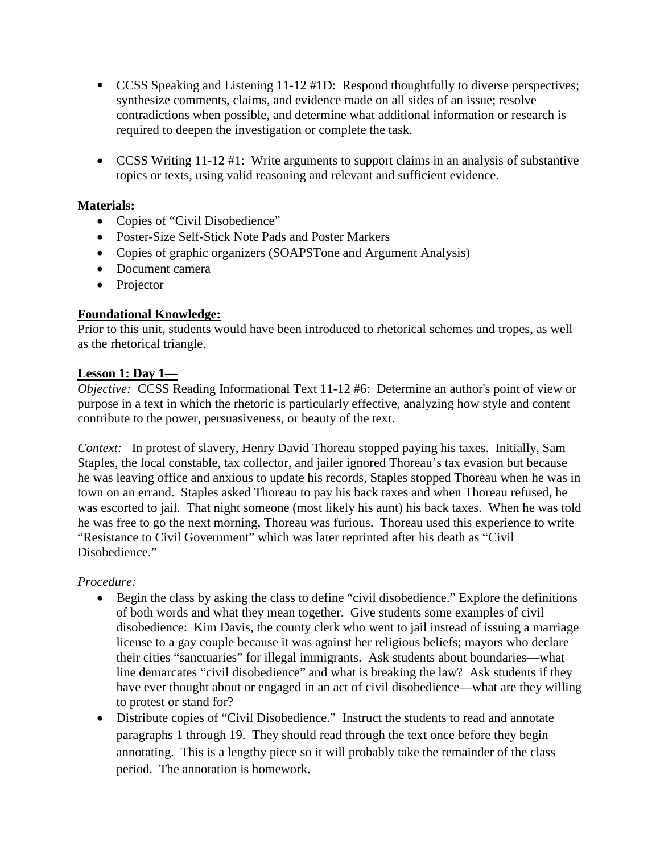- CCSS Speaking and Listening 11-12 #1D: Respond thoughtfully to diverse perspectives; synthesize comments, claims, and evidence made on all sides of an issue; resolve contradictions when possible, and determine what additional information or research is required to deepen the investigation or complete the task.
- CCSS Writing 11-12 #1: Write arguments to support claims in an analysis of substantive topics or texts, using valid reasoning and relevant and sufficient evidence.

### **Materials:**

- Copies of "Civil Disobedience"
- Poster-Size Self-Stick Note Pads and Poster Markers
- Copies of graphic organizers (SOAPSTone and Argument Analysis)
- Document camera
- Projector

## **Foundational Knowledge:**

Prior to this unit, students would have been introduced to rhetorical schemes and tropes, as well as the rhetorical triangle.

#### **Lesson 1: Day 1—**

*Objective:* CCSS Reading Informational Text 11-12 #6: Determine an author's point of view or purpose in a text in which the rhetoric is particularly effective, analyzing how style and content contribute to the power, persuasiveness, or beauty of the text.

*Context:* In protest of slavery, Henry David Thoreau stopped paying his taxes. Initially, Sam Staples, the local constable, tax collector, and jailer ignored Thoreau's tax evasion but because he was leaving office and anxious to update his records, Staples stopped Thoreau when he was in town on an errand. Staples asked Thoreau to pay his back taxes and when Thoreau refused, he was escorted to jail. That night someone (most likely his aunt) his back taxes. When he was told he was free to go the next morning, Thoreau was furious. Thoreau used this experience to write "Resistance to Civil Government" which was later reprinted after his death as "Civil Disobedience."

*Procedure:*

- Begin the class by asking the class to define "civil disobedience." Explore the definitions of both words and what they mean together. Give students some examples of civil disobedience: Kim Davis, the county clerk who went to jail instead of issuing a marriage license to a gay couple because it was against her religious beliefs; mayors who declare their cities "sanctuaries" for illegal immigrants. Ask students about boundaries—what line demarcates "civil disobedience" and what is breaking the law? Ask students if they have ever thought about or engaged in an act of civil disobedience—what are they willing to protest or stand for?
- Distribute copies of "Civil Disobedience." Instruct the students to read and annotate paragraphs 1 through 19. They should read through the text once before they begin annotating. This is a lengthy piece so it will probably take the remainder of the class period. The annotation is homework.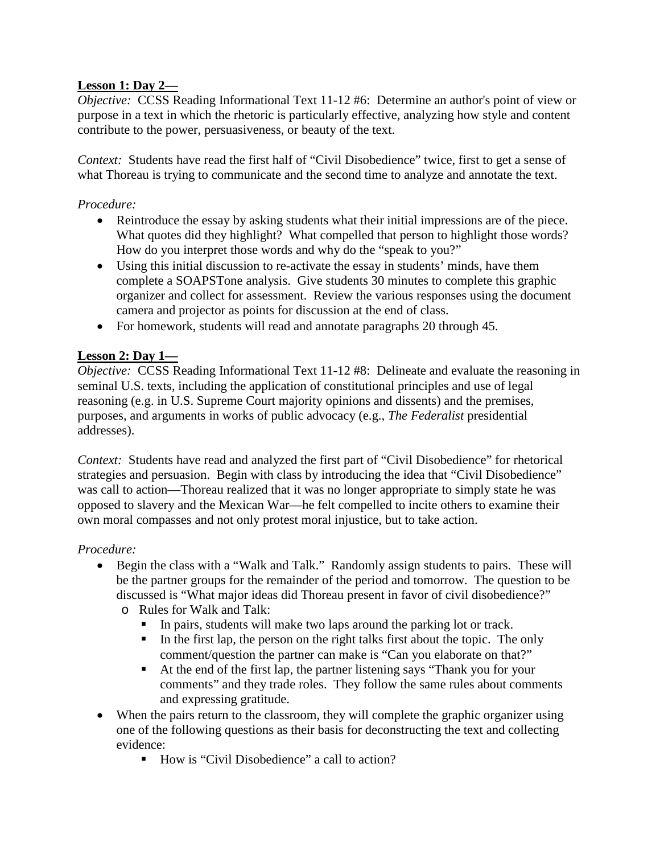### **Lesson 1: Day 2—**

*Objective:* CCSS Reading Informational Text 11-12 #6: Determine an author's point of view or purpose in a text in which the rhetoric is particularly effective, analyzing how style and content contribute to the power, persuasiveness, or beauty of the text.

*Context:* Students have read the first half of "Civil Disobedience" twice, first to get a sense of what Thoreau is trying to communicate and the second time to analyze and annotate the text.

### *Procedure:*

- Reintroduce the essay by asking students what their initial impressions are of the piece. What quotes did they highlight? What compelled that person to highlight those words? How do you interpret those words and why do the "speak to you?"
- Using this initial discussion to re-activate the essay in students' minds, have them complete a SOAPSTone analysis. Give students 30 minutes to complete this graphic organizer and collect for assessment. Review the various responses using the document camera and projector as points for discussion at the end of class.
- For homework, students will read and annotate paragraphs 20 through 45.

## **Lesson 2: Day 1—**

*Objective:* CCSS Reading Informational Text 11-12 #8: Delineate and evaluate the reasoning in seminal U.S. texts, including the application of constitutional principles and use of legal reasoning (e.g. in U.S. Supreme Court majority opinions and dissents) and the premises, purposes, and arguments in works of public advocacy (e.g., *The Federalist* presidential addresses).

*Context:* Students have read and analyzed the first part of "Civil Disobedience" for rhetorical strategies and persuasion. Begin with class by introducing the idea that "Civil Disobedience" was call to action—Thoreau realized that it was no longer appropriate to simply state he was opposed to slavery and the Mexican War—he felt compelled to incite others to examine their own moral compasses and not only protest moral injustice, but to take action.

### *Procedure:*

- Begin the class with a "Walk and Talk." Randomly assign students to pairs. These will be the partner groups for the remainder of the period and tomorrow. The question to be discussed is "What major ideas did Thoreau present in favor of civil disobedience?"
	- o Rules for Walk and Talk:
		- In pairs, students will make two laps around the parking lot or track.
		- In the first lap, the person on the right talks first about the topic. The only comment/question the partner can make is "Can you elaborate on that?"
		- At the end of the first lap, the partner listening says "Thank you for your comments" and they trade roles. They follow the same rules about comments and expressing gratitude.
- When the pairs return to the classroom, they will complete the graphic organizer using one of the following questions as their basis for deconstructing the text and collecting evidence:
	- How is "Civil Disobedience" a call to action?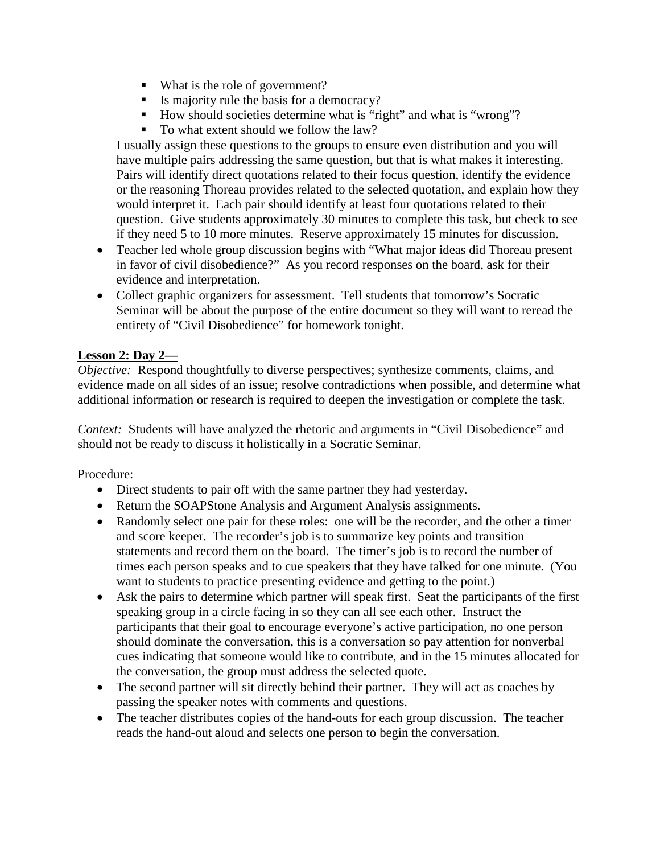- What is the role of government?
- Is majority rule the basis for a democracy?
- How should societies determine what is "right" and what is "wrong"?
- To what extent should we follow the law?

I usually assign these questions to the groups to ensure even distribution and you will have multiple pairs addressing the same question, but that is what makes it interesting. Pairs will identify direct quotations related to their focus question, identify the evidence or the reasoning Thoreau provides related to the selected quotation, and explain how they would interpret it. Each pair should identify at least four quotations related to their question. Give students approximately 30 minutes to complete this task, but check to see if they need 5 to 10 more minutes. Reserve approximately 15 minutes for discussion.

- Teacher led whole group discussion begins with "What major ideas did Thoreau present in favor of civil disobedience?" As you record responses on the board, ask for their evidence and interpretation.
- Collect graphic organizers for assessment. Tell students that tomorrow's Socratic Seminar will be about the purpose of the entire document so they will want to reread the entirety of "Civil Disobedience" for homework tonight.

#### **Lesson 2: Day 2—**

*Objective:* Respond thoughtfully to diverse perspectives; synthesize comments, claims, and evidence made on all sides of an issue; resolve contradictions when possible, and determine what additional information or research is required to deepen the investigation or complete the task.

*Context:* Students will have analyzed the rhetoric and arguments in "Civil Disobedience" and should not be ready to discuss it holistically in a Socratic Seminar.

Procedure:

- Direct students to pair off with the same partner they had yesterday.
- Return the SOAPStone Analysis and Argument Analysis assignments.
- Randomly select one pair for these roles: one will be the recorder, and the other a timer and score keeper. The recorder's job is to summarize key points and transition statements and record them on the board. The timer's job is to record the number of times each person speaks and to cue speakers that they have talked for one minute. (You want to students to practice presenting evidence and getting to the point.)
- Ask the pairs to determine which partner will speak first. Seat the participants of the first speaking group in a circle facing in so they can all see each other. Instruct the participants that their goal to encourage everyone's active participation, no one person should dominate the conversation, this is a conversation so pay attention for nonverbal cues indicating that someone would like to contribute, and in the 15 minutes allocated for the conversation, the group must address the selected quote.
- The second partner will sit directly behind their partner. They will act as coaches by passing the speaker notes with comments and questions.
- The teacher distributes copies of the hand-outs for each group discussion. The teacher reads the hand-out aloud and selects one person to begin the conversation.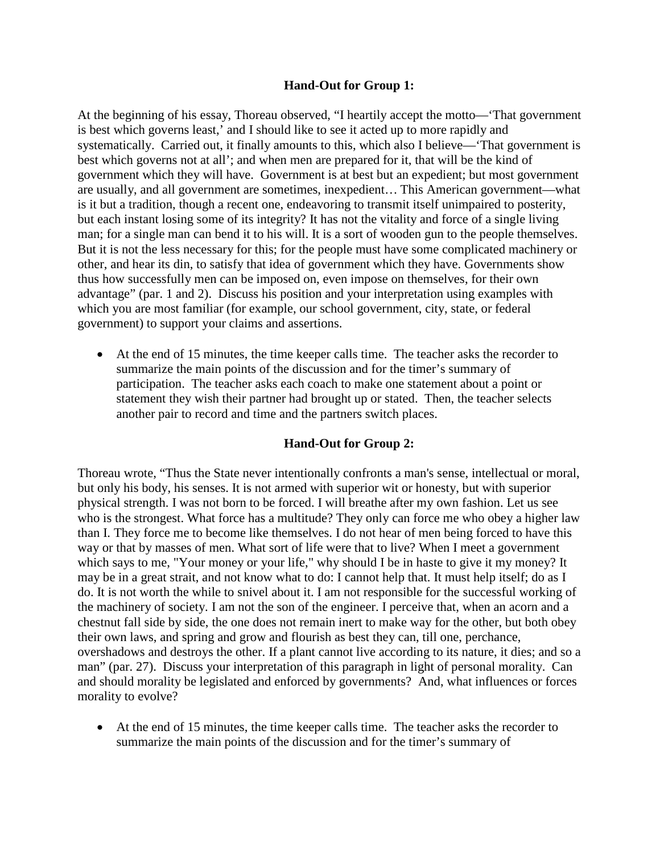#### **Hand-Out for Group 1:**

At the beginning of his essay, Thoreau observed, "I heartily accept the motto—'That government is best which governs least,' and I should like to see it acted up to more rapidly and systematically. Carried out, it finally amounts to this, which also I believe—'That government is best which governs not at all'; and when men are prepared for it, that will be the kind of government which they will have. Government is at best but an expedient; but most government are usually, and all government are sometimes, inexpedient… This American government—what is it but a tradition, though a recent one, endeavoring to transmit itself unimpaired to posterity, but each instant losing some of its integrity? It has not the vitality and force of a single living man; for a single man can bend it to his will. It is a sort of wooden gun to the people themselves. But it is not the less necessary for this; for the people must have some complicated machinery or other, and hear its din, to satisfy that idea of government which they have. Governments show thus how successfully men can be imposed on, even impose on themselves, for their own advantage" (par. 1 and 2). Discuss his position and your interpretation using examples with which you are most familiar (for example, our school government, city, state, or federal government) to support your claims and assertions.

• At the end of 15 minutes, the time keeper calls time. The teacher asks the recorder to summarize the main points of the discussion and for the timer's summary of participation. The teacher asks each coach to make one statement about a point or statement they wish their partner had brought up or stated. Then, the teacher selects another pair to record and time and the partners switch places.

#### **Hand-Out for Group 2:**

Thoreau wrote, "Thus the State never intentionally confronts a man's sense, intellectual or moral, but only his body, his senses. It is not armed with superior wit or honesty, but with superior physical strength. I was not born to be forced. I will breathe after my own fashion. Let us see who is the strongest. What force has a multitude? They only can force me who obey a higher law than I. They force me to become like themselves. I do not hear of men being forced to have this way or that by masses of men. What sort of life were that to live? When I meet a government which says to me, "Your money or your life," why should I be in haste to give it my money? It may be in a great strait, and not know what to do: I cannot help that. It must help itself; do as I do. It is not worth the while to snivel about it. I am not responsible for the successful working of the machinery of society. I am not the son of the engineer. I perceive that, when an acorn and a chestnut fall side by side, the one does not remain inert to make way for the other, but both obey their own laws, and spring and grow and flourish as best they can, till one, perchance, overshadows and destroys the other. If a plant cannot live according to its nature, it dies; and so a man" (par. 27). Discuss your interpretation of this paragraph in light of personal morality. Can and should morality be legislated and enforced by governments? And, what influences or forces morality to evolve?

• At the end of 15 minutes, the time keeper calls time. The teacher asks the recorder to summarize the main points of the discussion and for the timer's summary of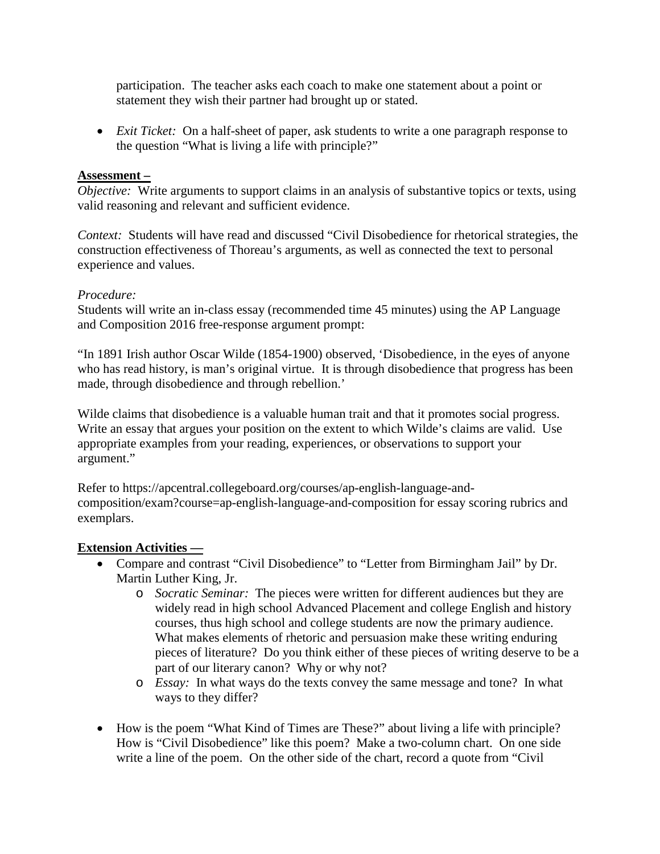participation. The teacher asks each coach to make one statement about a point or statement they wish their partner had brought up or stated.

• *Exit Ticket:* On a half-sheet of paper, ask students to write a one paragraph response to the question "What is living a life with principle?"

#### **Assessment –**

*Objective:* Write arguments to support claims in an analysis of substantive topics or texts, using valid reasoning and relevant and sufficient evidence.

*Context:* Students will have read and discussed "Civil Disobedience for rhetorical strategies, the construction effectiveness of Thoreau's arguments, as well as connected the text to personal experience and values.

#### *Procedure:*

Students will write an in-class essay (recommended time 45 minutes) using the AP Language and Composition 2016 free-response argument prompt:

"In 1891 Irish author Oscar Wilde (1854-1900) observed, 'Disobedience, in the eyes of anyone who has read history, is man's original virtue. It is through disobedience that progress has been made, through disobedience and through rebellion.'

Wilde claims that disobedience is a valuable human trait and that it promotes social progress. Write an essay that argues your position on the extent to which Wilde's claims are valid. Use appropriate examples from your reading, experiences, or observations to support your argument."

Refer to https://apcentral.collegeboard.org/courses/ap-english-language-andcomposition/exam?course=ap-english-language-and-composition for essay scoring rubrics and exemplars.

#### **Extension Activities —**

- Compare and contrast "Civil Disobedience" to "Letter from Birmingham Jail" by Dr. Martin Luther King, Jr.
	- o *Socratic Seminar:* The pieces were written for different audiences but they are widely read in high school Advanced Placement and college English and history courses, thus high school and college students are now the primary audience. What makes elements of rhetoric and persuasion make these writing enduring pieces of literature? Do you think either of these pieces of writing deserve to be a part of our literary canon? Why or why not?
	- o *Essay:* In what ways do the texts convey the same message and tone? In what ways to they differ?
- How is the poem "What Kind of Times are These?" about living a life with principle? How is "Civil Disobedience" like this poem? Make a two-column chart. On one side write a line of the poem. On the other side of the chart, record a quote from "Civil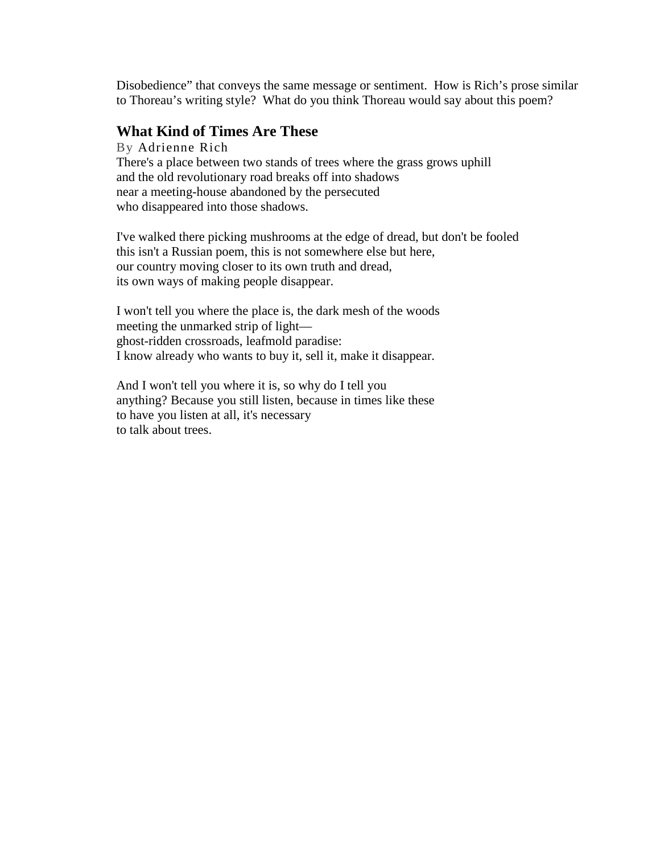Disobedience" that conveys the same message or sentiment. How is Rich's prose similar to Thoreau's writing style? What do you think Thoreau would say about this poem?

#### **What Kind of Times Are These**

By [Adrienne](https://www.poetryfoundation.org/poets/adrienne-rich) Rich There's a place between two stands of trees where the grass grows uphill and the old revolutionary road breaks off into shadows near a meeting-house abandoned by the persecuted who disappeared into those shadows.

I've walked there picking mushrooms at the edge of dread, but don't be fooled this isn't a Russian poem, this is not somewhere else but here, our country moving closer to its own truth and dread, its own ways of making people disappear.

I won't tell you where the place is, the dark mesh of the woods meeting the unmarked strip of light ghost-ridden crossroads, leafmold paradise: I know already who wants to buy it, sell it, make it disappear.

And I won't tell you where it is, so why do I tell you anything? Because you still listen, because in times like these to have you listen at all, it's necessary to talk about trees.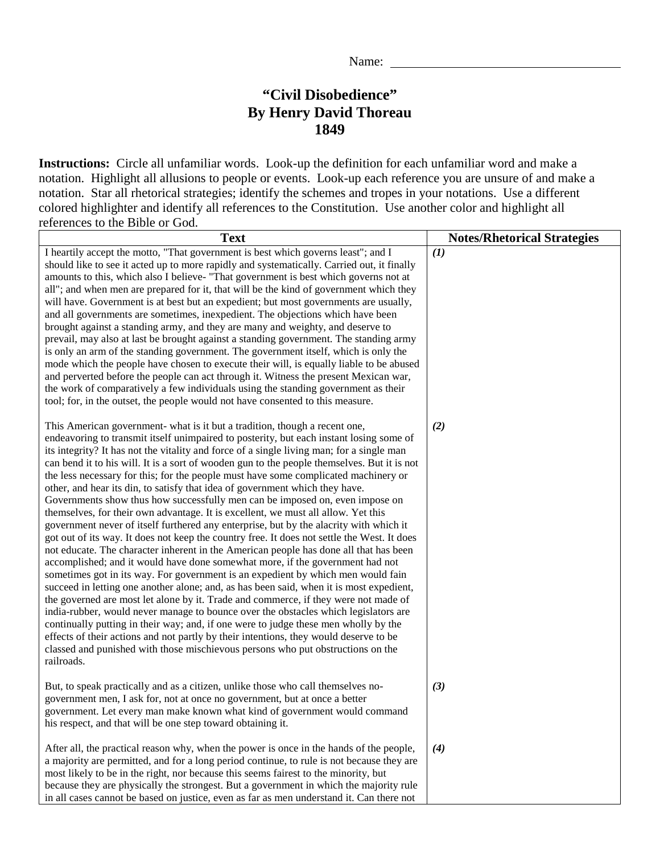## **"Civil Disobedience" By Henry David Thoreau 1849**

**Instructions:** Circle all unfamiliar words. Look-up the definition for each unfamiliar word and make a notation. Highlight all allusions to people or events. Look-up each reference you are unsure of and make a notation. Star all rhetorical strategies; identify the schemes and tropes in your notations. Use a different colored highlighter and identify all references to the Constitution. Use another color and highlight all references to the Bible or God.

| <b>Text</b>                                                                                                                                                                                                                                                                                                                                                                                                                                                                                                                                                                                                                                                                                                                                                                                                                                                                                                                                                                                                                                                                                                                                                                                                                                                                                                                                                                                                                                                                                                                                                                                                                                                                                                                    | <b>Notes/Rhetorical Strategies</b> |
|--------------------------------------------------------------------------------------------------------------------------------------------------------------------------------------------------------------------------------------------------------------------------------------------------------------------------------------------------------------------------------------------------------------------------------------------------------------------------------------------------------------------------------------------------------------------------------------------------------------------------------------------------------------------------------------------------------------------------------------------------------------------------------------------------------------------------------------------------------------------------------------------------------------------------------------------------------------------------------------------------------------------------------------------------------------------------------------------------------------------------------------------------------------------------------------------------------------------------------------------------------------------------------------------------------------------------------------------------------------------------------------------------------------------------------------------------------------------------------------------------------------------------------------------------------------------------------------------------------------------------------------------------------------------------------------------------------------------------------|------------------------------------|
| I heartily accept the motto, "That government is best which governs least"; and I<br>should like to see it acted up to more rapidly and systematically. Carried out, it finally<br>amounts to this, which also I believe- "That government is best which governs not at<br>all"; and when men are prepared for it, that will be the kind of government which they<br>will have. Government is at best but an expedient; but most governments are usually,<br>and all governments are sometimes, inexpedient. The objections which have been<br>brought against a standing army, and they are many and weighty, and deserve to<br>prevail, may also at last be brought against a standing government. The standing army<br>is only an arm of the standing government. The government itself, which is only the<br>mode which the people have chosen to execute their will, is equally liable to be abused<br>and perverted before the people can act through it. Witness the present Mexican war,<br>the work of comparatively a few individuals using the standing government as their<br>tool; for, in the outset, the people would not have consented to this measure.                                                                                                                                                                                                                                                                                                                                                                                                                                                                                                                                                       | (1)                                |
| This American government- what is it but a tradition, though a recent one,<br>endeavoring to transmit itself unimpaired to posterity, but each instant losing some of<br>its integrity? It has not the vitality and force of a single living man; for a single man<br>can bend it to his will. It is a sort of wooden gun to the people themselves. But it is not<br>the less necessary for this; for the people must have some complicated machinery or<br>other, and hear its din, to satisfy that idea of government which they have.<br>Governments show thus how successfully men can be imposed on, even impose on<br>themselves, for their own advantage. It is excellent, we must all allow. Yet this<br>government never of itself furthered any enterprise, but by the alacrity with which it<br>got out of its way. It does not keep the country free. It does not settle the West. It does<br>not educate. The character inherent in the American people has done all that has been<br>accomplished; and it would have done somewhat more, if the government had not<br>sometimes got in its way. For government is an expedient by which men would fain<br>succeed in letting one another alone; and, as has been said, when it is most expedient,<br>the governed are most let alone by it. Trade and commerce, if they were not made of<br>india-rubber, would never manage to bounce over the obstacles which legislators are<br>continually putting in their way; and, if one were to judge these men wholly by the<br>effects of their actions and not partly by their intentions, they would deserve to be<br>classed and punished with those mischievous persons who put obstructions on the<br>railroads. | (2)                                |
| But, to speak practically and as a citizen, unlike those who call themselves no-<br>government men, I ask for, not at once no government, but at once a better<br>government. Let every man make known what kind of government would command<br>his respect, and that will be one step toward obtaining it.                                                                                                                                                                                                                                                                                                                                                                                                                                                                                                                                                                                                                                                                                                                                                                                                                                                                                                                                                                                                                                                                                                                                                                                                                                                                                                                                                                                                                    | (3)                                |
| After all, the practical reason why, when the power is once in the hands of the people,<br>a majority are permitted, and for a long period continue, to rule is not because they are<br>most likely to be in the right, nor because this seems fairest to the minority, but<br>because they are physically the strongest. But a government in which the majority rule<br>in all cases cannot be based on justice, even as far as men understand it. Can there not                                                                                                                                                                                                                                                                                                                                                                                                                                                                                                                                                                                                                                                                                                                                                                                                                                                                                                                                                                                                                                                                                                                                                                                                                                                              | (4)                                |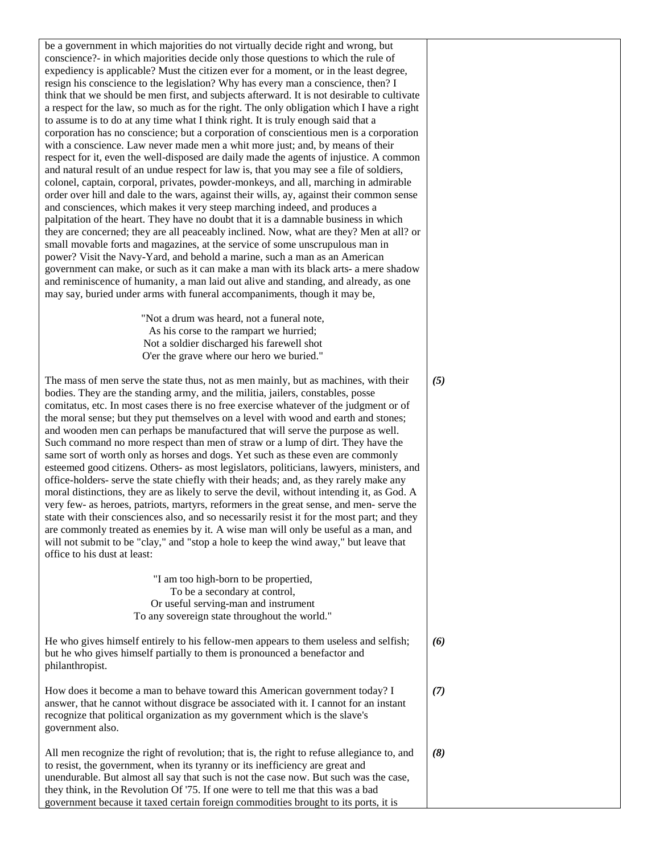be a government in which majorities do not virtually decide right and wrong, but conscience?- in which majorities decide only those questions to which the rule of expediency is applicable? Must the citizen ever for a moment, or in the least degree, resign his conscience to the legislation? Why has every man a conscience, then? I think that we should be men first, and subjects afterward. It is not desirable to cultivate a respect for the law, so much as for the right. The only obligation which I have a right to assume is to do at any time what I think right. It is truly enough said that a corporation has no conscience; but a corporation of conscientious men is a corporation with a conscience. Law never made men a whit more just; and, by means of their respect for it, even the well-disposed are daily made the agents of injustice. A common and natural result of an undue respect for law is, that you may see a file of soldiers, colonel, captain, corporal, privates, powder-monkeys, and all, marching in admirable order over hill and dale to the wars, against their wills, ay, against their common sense and consciences, which makes it very steep marching indeed, and produces a palpitation of the heart. They have no doubt that it is a damnable business in which they are concerned; they are all peaceably inclined. Now, what are they? Men at all? or small movable forts and magazines, at the service of some unscrupulous man in power? Visit the Navy-Yard, and behold a marine, such a man as an American government can make, or such as it can make a man with its black arts- a mere shadow and reminiscence of humanity, a man laid out alive and standing, and already, as one may say, buried under arms with funeral accompaniments, though it may be,

> "Not a drum was heard, not a funeral note, As his corse to the rampart we hurried; Not a soldier discharged his farewell shot O'er the grave where our hero we buried."

> > *(5)*

The mass of men serve the state thus, not as men mainly, but as machines, with their bodies. They are the standing army, and the militia, jailers, constables, posse comitatus, etc. In most cases there is no free exercise whatever of the judgment or of the moral sense; but they put themselves on a level with wood and earth and stones; and wooden men can perhaps be manufactured that will serve the purpose as well. Such command no more respect than men of straw or a lump of dirt. They have the same sort of worth only as horses and dogs. Yet such as these even are commonly esteemed good citizens. Others- as most legislators, politicians, lawyers, ministers, and office-holders- serve the state chiefly with their heads; and, as they rarely make any moral distinctions, they are as likely to serve the devil, without intending it, as God. A very few- as heroes, patriots, martyrs, reformers in the great sense, and men- serve the state with their consciences also, and so necessarily resist it for the most part; and they are commonly treated as enemies by it. A wise man will only be useful as a man, and will not submit to be "clay," and "stop a hole to keep the wind away," but leave that office to his dust at least:

> "I am too high-born to be propertied, To be a secondary at control, Or useful serving-man and instrument To any sovereign state throughout the world."

| He who gives himself entirely to his fellow-men appears to them useless and selfish; | (6) |
|--------------------------------------------------------------------------------------|-----|
| but he who gives himself partially to them is pronounced a benefactor and            |     |
| philanthropist.                                                                      |     |

How does it become a man to behave toward this American government today? I answer, that he cannot without disgrace be associated with it. I cannot for an instant recognize that political organization as my government which is the slave's government also. *(7)*

All men recognize the right of revolution; that is, the right to refuse allegiance to, and to resist, the government, when its tyranny or its inefficiency are great and unendurable. But almost all say that such is not the case now. But such was the case, they think, in the Revolution Of '75. If one were to tell me that this was a bad government because it taxed certain foreign commodities brought to its ports, it is *(8)*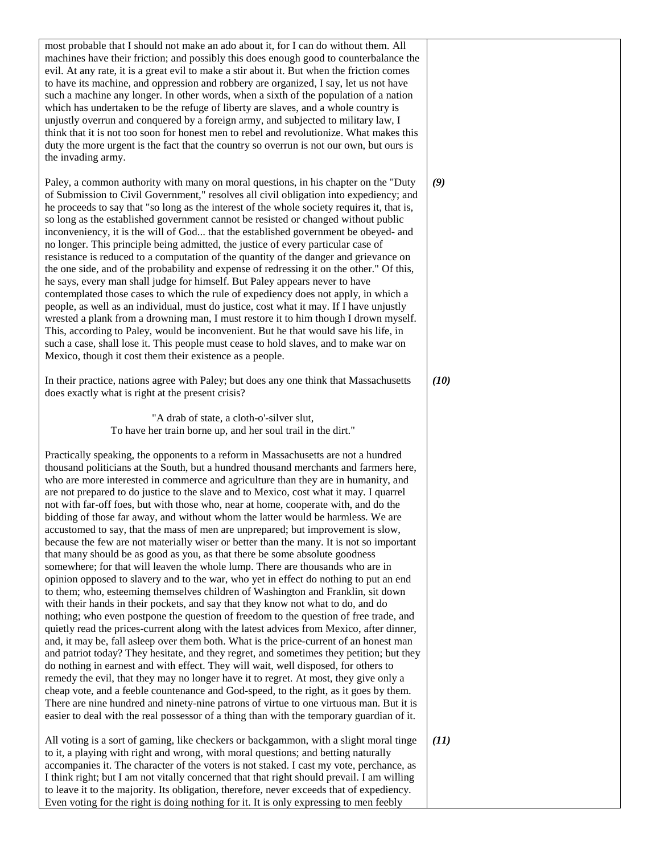| most probable that I should not make an ado about it, for I can do without them. All<br>machines have their friction; and possibly this does enough good to counterbalance the<br>evil. At any rate, it is a great evil to make a stir about it. But when the friction comes<br>to have its machine, and oppression and robbery are organized, I say, let us not have<br>such a machine any longer. In other words, when a sixth of the population of a nation<br>which has undertaken to be the refuge of liberty are slaves, and a whole country is<br>unjustly overrun and conquered by a foreign army, and subjected to military law, I<br>think that it is not too soon for honest men to rebel and revolutionize. What makes this<br>duty the more urgent is the fact that the country so overrun is not our own, but ours is<br>the invading army.                                                                                                                                                                                                                                                                                                                                                                                                                                                                                                                                                                                                                                                                                                                                                                                                                                                                                                                                                                                                                                                                                                                                            |      |
|------------------------------------------------------------------------------------------------------------------------------------------------------------------------------------------------------------------------------------------------------------------------------------------------------------------------------------------------------------------------------------------------------------------------------------------------------------------------------------------------------------------------------------------------------------------------------------------------------------------------------------------------------------------------------------------------------------------------------------------------------------------------------------------------------------------------------------------------------------------------------------------------------------------------------------------------------------------------------------------------------------------------------------------------------------------------------------------------------------------------------------------------------------------------------------------------------------------------------------------------------------------------------------------------------------------------------------------------------------------------------------------------------------------------------------------------------------------------------------------------------------------------------------------------------------------------------------------------------------------------------------------------------------------------------------------------------------------------------------------------------------------------------------------------------------------------------------------------------------------------------------------------------------------------------------------------------------------------------------------------------|------|
| Paley, a common authority with many on moral questions, in his chapter on the "Duty<br>of Submission to Civil Government," resolves all civil obligation into expediency; and<br>he proceeds to say that "so long as the interest of the whole society requires it, that is,<br>so long as the established government cannot be resisted or changed without public<br>inconveniency, it is the will of God that the established government be obeyed- and<br>no longer. This principle being admitted, the justice of every particular case of<br>resistance is reduced to a computation of the quantity of the danger and grievance on<br>the one side, and of the probability and expense of redressing it on the other." Of this,<br>he says, every man shall judge for himself. But Paley appears never to have<br>contemplated those cases to which the rule of expediency does not apply, in which a<br>people, as well as an individual, must do justice, cost what it may. If I have unjustly<br>wrested a plank from a drowning man, I must restore it to him though I drown myself.<br>This, according to Paley, would be inconvenient. But he that would save his life, in<br>such a case, shall lose it. This people must cease to hold slaves, and to make war on<br>Mexico, though it cost them their existence as a people.                                                                                                                                                                                                                                                                                                                                                                                                                                                                                                                                                                                                                                                           | (9)  |
| In their practice, nations agree with Paley; but does any one think that Massachusetts<br>does exactly what is right at the present crisis?                                                                                                                                                                                                                                                                                                                                                                                                                                                                                                                                                                                                                                                                                                                                                                                                                                                                                                                                                                                                                                                                                                                                                                                                                                                                                                                                                                                                                                                                                                                                                                                                                                                                                                                                                                                                                                                          | (10) |
| "A drab of state, a cloth-o'-silver slut,<br>To have her train borne up, and her soul trail in the dirt."                                                                                                                                                                                                                                                                                                                                                                                                                                                                                                                                                                                                                                                                                                                                                                                                                                                                                                                                                                                                                                                                                                                                                                                                                                                                                                                                                                                                                                                                                                                                                                                                                                                                                                                                                                                                                                                                                            |      |
| Practically speaking, the opponents to a reform in Massachusetts are not a hundred<br>thousand politicians at the South, but a hundred thousand merchants and farmers here,<br>who are more interested in commerce and agriculture than they are in humanity, and<br>are not prepared to do justice to the slave and to Mexico, cost what it may. I quarrel<br>not with far-off foes, but with those who, near at home, cooperate with, and do the<br>bidding of those far away, and without whom the latter would be harmless. We are<br>accustomed to say, that the mass of men are unprepared; but improvement is slow,<br>because the few are not materially wiser or better than the many. It is not so important<br>that many should be as good as you, as that there be some absolute goodness<br>somewhere; for that will leaven the whole lump. There are thousands who are in<br>opinion opposed to slavery and to the war, who yet in effect do nothing to put an end<br>to them; who, esteeming themselves children of Washington and Franklin, sit down<br>with their hands in their pockets, and say that they know not what to do, and do<br>nothing; who even postpone the question of freedom to the question of free trade, and<br>quietly read the prices-current along with the latest advices from Mexico, after dinner,<br>and, it may be, fall asleep over them both. What is the price-current of an honest man<br>and patriot today? They hesitate, and they regret, and sometimes they petition; but they<br>do nothing in earnest and with effect. They will wait, well disposed, for others to<br>remedy the evil, that they may no longer have it to regret. At most, they give only a<br>cheap vote, and a feeble countenance and God-speed, to the right, as it goes by them.<br>There are nine hundred and ninety-nine patrons of virtue to one virtuous man. But it is<br>easier to deal with the real possessor of a thing than with the temporary guardian of it. |      |
| All voting is a sort of gaming, like checkers or backgammon, with a slight moral tinge<br>to it, a playing with right and wrong, with moral questions; and betting naturally<br>accompanies it. The character of the voters is not staked. I cast my vote, perchance, as<br>I think right; but I am not vitally concerned that that right should prevail. I am willing<br>to leave it to the majority. Its obligation, therefore, never exceeds that of expediency.<br>Even voting for the right is doing nothing for it. It is only expressing to men feebly                                                                                                                                                                                                                                                                                                                                                                                                                                                                                                                                                                                                                                                                                                                                                                                                                                                                                                                                                                                                                                                                                                                                                                                                                                                                                                                                                                                                                                        | (11) |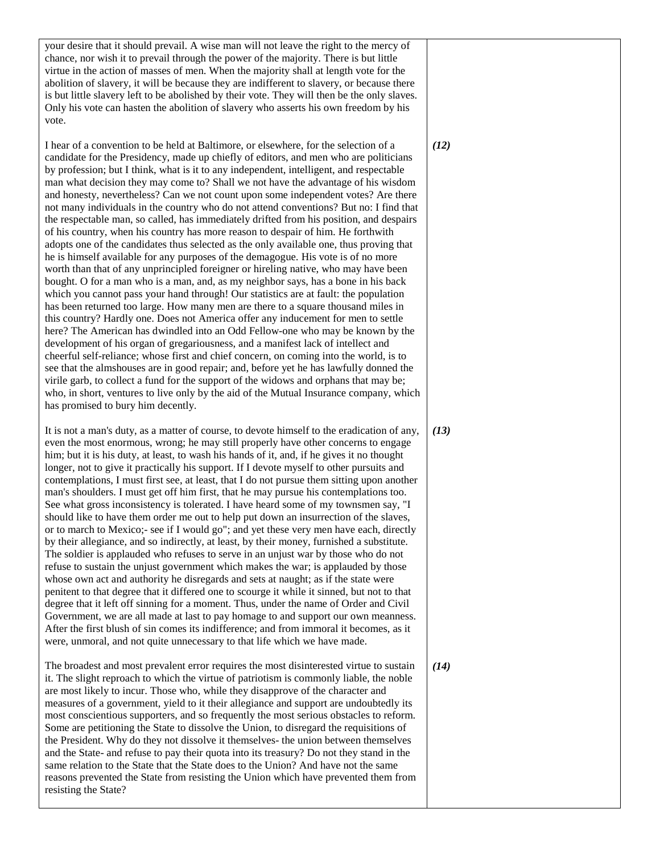your desire that it should prevail. A wise man will not leave the right to the mercy of chance, nor wish it to prevail through the power of the majority. There is but little virtue in the action of masses of men. When the majority shall at length vote for the abolition of slavery, it will be because they are indifferent to slavery, or because there is but little slavery left to be abolished by their vote. They will then be the only slaves. Only his vote can hasten the abolition of slavery who asserts his own freedom by his vote.

I hear of a convention to be held at Baltimore, or elsewhere, for the selection of a candidate for the Presidency, made up chiefly of editors, and men who are politicians by profession; but I think, what is it to any independent, intelligent, and respectable man what decision they may come to? Shall we not have the advantage of his wisdom and honesty, nevertheless? Can we not count upon some independent votes? Are there not many individuals in the country who do not attend conventions? But no: I find that the respectable man, so called, has immediately drifted from his position, and despairs of his country, when his country has more reason to despair of him. He forthwith adopts one of the candidates thus selected as the only available one, thus proving that he is himself available for any purposes of the demagogue. His vote is of no more worth than that of any unprincipled foreigner or hireling native, who may have been bought. O for a man who is a man, and, as my neighbor says, has a bone in his back which you cannot pass your hand through! Our statistics are at fault: the population has been returned too large. How many men are there to a square thousand miles in this country? Hardly one. Does not America offer any inducement for men to settle here? The American has dwindled into an Odd Fellow-one who may be known by the development of his organ of gregariousness, and a manifest lack of intellect and cheerful self-reliance; whose first and chief concern, on coming into the world, is to see that the almshouses are in good repair; and, before yet he has lawfully donned the virile garb, to collect a fund for the support of the widows and orphans that may be; who, in short, ventures to live only by the aid of the Mutual Insurance company, which has promised to bury him decently.

It is not a man's duty, as a matter of course, to devote himself to the eradication of any, even the most enormous, wrong; he may still properly have other concerns to engage him; but it is his duty, at least, to wash his hands of it, and, if he gives it no thought longer, not to give it practically his support. If I devote myself to other pursuits and contemplations, I must first see, at least, that I do not pursue them sitting upon another man's shoulders. I must get off him first, that he may pursue his contemplations too. See what gross inconsistency is tolerated. I have heard some of my townsmen say, "I should like to have them order me out to help put down an insurrection of the slaves, or to march to Mexico;- see if I would go"; and yet these very men have each, directly by their allegiance, and so indirectly, at least, by their money, furnished a substitute. The soldier is applauded who refuses to serve in an unjust war by those who do not refuse to sustain the unjust government which makes the war; is applauded by those whose own act and authority he disregards and sets at naught; as if the state were penitent to that degree that it differed one to scourge it while it sinned, but not to that degree that it left off sinning for a moment. Thus, under the name of Order and Civil Government, we are all made at last to pay homage to and support our own meanness. After the first blush of sin comes its indifference; and from immoral it becomes, as it were, unmoral, and not quite unnecessary to that life which we have made.

The broadest and most prevalent error requires the most disinterested virtue to sustain it. The slight reproach to which the virtue of patriotism is commonly liable, the noble are most likely to incur. Those who, while they disapprove of the character and measures of a government, yield to it their allegiance and support are undoubtedly its most conscientious supporters, and so frequently the most serious obstacles to reform. Some are petitioning the State to dissolve the Union, to disregard the requisitions of the President. Why do they not dissolve it themselves- the union between themselves and the State- and refuse to pay their quota into its treasury? Do not they stand in the same relation to the State that the State does to the Union? And have not the same reasons prevented the State from resisting the Union which have prevented them from resisting the State?

*(12)*

*(13)*

*(14)*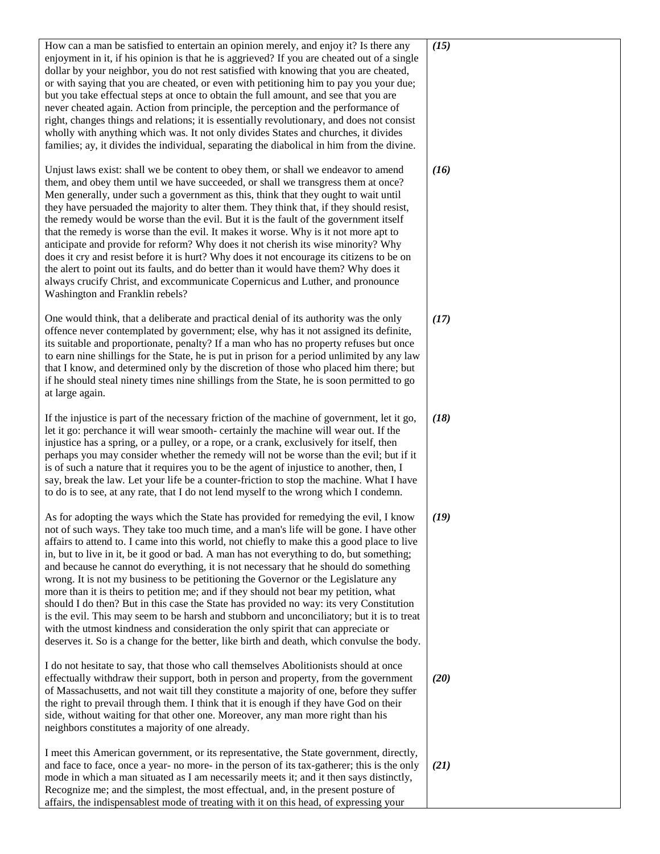| How can a man be satisfied to entertain an opinion merely, and enjoy it? Is there any<br>enjoyment in it, if his opinion is that he is aggrieved? If you are cheated out of a single<br>dollar by your neighbor, you do not rest satisfied with knowing that you are cheated,<br>or with saying that you are cheated, or even with petitioning him to pay you your due;<br>but you take effectual steps at once to obtain the full amount, and see that you are<br>never cheated again. Action from principle, the perception and the performance of<br>right, changes things and relations; it is essentially revolutionary, and does not consist<br>wholly with anything which was. It not only divides States and churches, it divides<br>families; ay, it divides the individual, separating the diabolical in him from the divine.                                                                                                                                                                                     | (15) |
|-----------------------------------------------------------------------------------------------------------------------------------------------------------------------------------------------------------------------------------------------------------------------------------------------------------------------------------------------------------------------------------------------------------------------------------------------------------------------------------------------------------------------------------------------------------------------------------------------------------------------------------------------------------------------------------------------------------------------------------------------------------------------------------------------------------------------------------------------------------------------------------------------------------------------------------------------------------------------------------------------------------------------------|------|
| Unjust laws exist: shall we be content to obey them, or shall we endeavor to amend<br>them, and obey them until we have succeeded, or shall we transgress them at once?<br>Men generally, under such a government as this, think that they ought to wait until<br>they have persuaded the majority to alter them. They think that, if they should resist,<br>the remedy would be worse than the evil. But it is the fault of the government itself<br>that the remedy is worse than the evil. It makes it worse. Why is it not more apt to<br>anticipate and provide for reform? Why does it not cherish its wise minority? Why<br>does it cry and resist before it is hurt? Why does it not encourage its citizens to be on<br>the alert to point out its faults, and do better than it would have them? Why does it<br>always crucify Christ, and excommunicate Copernicus and Luther, and pronounce<br>Washington and Franklin rebels?                                                                                   | (16) |
| One would think, that a deliberate and practical denial of its authority was the only<br>offence never contemplated by government; else, why has it not assigned its definite,<br>its suitable and proportionate, penalty? If a man who has no property refuses but once<br>to earn nine shillings for the State, he is put in prison for a period unlimited by any law<br>that I know, and determined only by the discretion of those who placed him there; but<br>if he should steal ninety times nine shillings from the State, he is soon permitted to go<br>at large again.                                                                                                                                                                                                                                                                                                                                                                                                                                            | (17) |
| If the injustice is part of the necessary friction of the machine of government, let it go,<br>let it go: perchance it will wear smooth- certainly the machine will wear out. If the<br>injustice has a spring, or a pulley, or a rope, or a crank, exclusively for itself, then<br>perhaps you may consider whether the remedy will not be worse than the evil; but if it<br>is of such a nature that it requires you to be the agent of injustice to another, then, I<br>say, break the law. Let your life be a counter-friction to stop the machine. What I have<br>to do is to see, at any rate, that I do not lend myself to the wrong which I condemn.                                                                                                                                                                                                                                                                                                                                                                | (18) |
| As for adopting the ways which the State has provided for remedying the evil, I know<br>not of such ways. They take too much time, and a man's life will be gone. I have other<br>affairs to attend to. I came into this world, not chiefly to make this a good place to live<br>in, but to live in it, be it good or bad. A man has not everything to do, but something;<br>and because he cannot do everything, it is not necessary that he should do something<br>wrong. It is not my business to be petitioning the Governor or the Legislature any<br>more than it is theirs to petition me; and if they should not bear my petition, what<br>should I do then? But in this case the State has provided no way: its very Constitution<br>is the evil. This may seem to be harsh and stubborn and unconciliatory; but it is to treat<br>with the utmost kindness and consideration the only spirit that can appreciate or<br>deserves it. So is a change for the better, like birth and death, which convulse the body. | (19) |
| I do not hesitate to say, that those who call themselves Abolitionists should at once<br>effectually withdraw their support, both in person and property, from the government<br>of Massachusetts, and not wait till they constitute a majority of one, before they suffer<br>the right to prevail through them. I think that it is enough if they have God on their<br>side, without waiting for that other one. Moreover, any man more right than his<br>neighbors constitutes a majority of one already.                                                                                                                                                                                                                                                                                                                                                                                                                                                                                                                 | (20) |
| I meet this American government, or its representative, the State government, directly,<br>and face to face, once a year- no more- in the person of its tax-gatherer; this is the only<br>mode in which a man situated as I am necessarily meets it; and it then says distinctly,<br>Recognize me; and the simplest, the most effectual, and, in the present posture of<br>affairs, the indispensablest mode of treating with it on this head, of expressing your                                                                                                                                                                                                                                                                                                                                                                                                                                                                                                                                                           | (21) |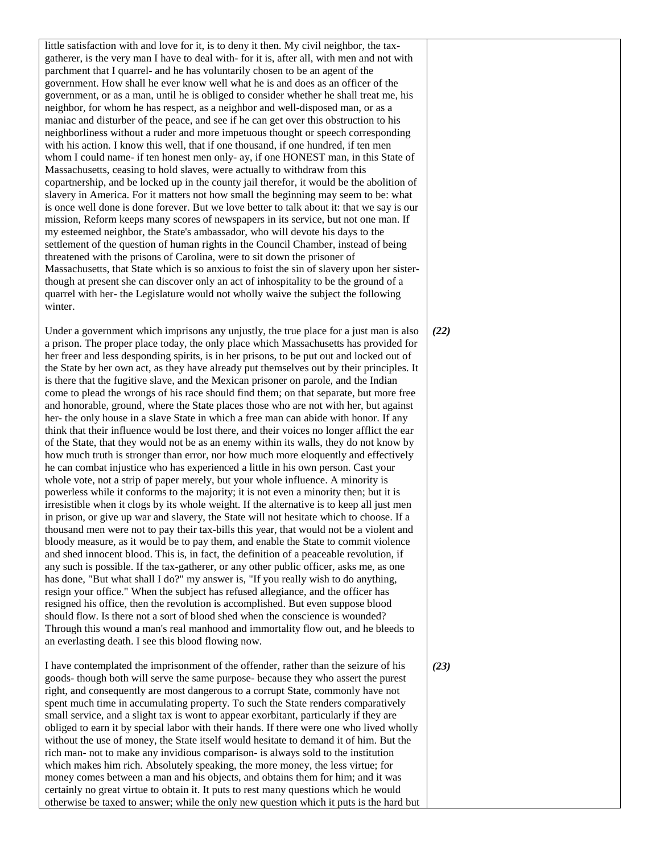little satisfaction with and love for it, is to deny it then. My civil neighbor, the taxgatherer, is the very man I have to deal with- for it is, after all, with men and not with parchment that I quarrel- and he has voluntarily chosen to be an agent of the government. How shall he ever know well what he is and does as an officer of the government, or as a man, until he is obliged to consider whether he shall treat me, his neighbor, for whom he has respect, as a neighbor and well-disposed man, or as a maniac and disturber of the peace, and see if he can get over this obstruction to his neighborliness without a ruder and more impetuous thought or speech corresponding with his action. I know this well, that if one thousand, if one hundred, if ten men whom I could name- if ten honest men only- ay, if one HONEST man, in this State of Massachusetts, ceasing to hold slaves, were actually to withdraw from this copartnership, and be locked up in the county jail therefor, it would be the abolition of slavery in America. For it matters not how small the beginning may seem to be: what is once well done is done forever. But we love better to talk about it: that we say is our mission, Reform keeps many scores of newspapers in its service, but not one man. If my esteemed neighbor, the State's ambassador, who will devote his days to the settlement of the question of human rights in the Council Chamber, instead of being threatened with the prisons of Carolina, were to sit down the prisoner of Massachusetts, that State which is so anxious to foist the sin of slavery upon her sisterthough at present she can discover only an act of inhospitality to be the ground of a quarrel with her- the Legislature would not wholly waive the subject the following winter.

Under a government which imprisons any unjustly, the true place for a just man is also a prison. The proper place today, the only place which Massachusetts has provided for her freer and less desponding spirits, is in her prisons, to be put out and locked out of the State by her own act, as they have already put themselves out by their principles. It is there that the fugitive slave, and the Mexican prisoner on parole, and the Indian come to plead the wrongs of his race should find them; on that separate, but more free and honorable, ground, where the State places those who are not with her, but against her- the only house in a slave State in which a free man can abide with honor. If any think that their influence would be lost there, and their voices no longer afflict the ear of the State, that they would not be as an enemy within its walls, they do not know by how much truth is stronger than error, nor how much more eloquently and effectively he can combat injustice who has experienced a little in his own person. Cast your whole vote, not a strip of paper merely, but your whole influence. A minority is powerless while it conforms to the majority; it is not even a minority then; but it is irresistible when it clogs by its whole weight. If the alternative is to keep all just men in prison, or give up war and slavery, the State will not hesitate which to choose. If a thousand men were not to pay their tax-bills this year, that would not be a violent and bloody measure, as it would be to pay them, and enable the State to commit violence and shed innocent blood. This is, in fact, the definition of a peaceable revolution, if any such is possible. If the tax-gatherer, or any other public officer, asks me, as one has done, "But what shall I do?" my answer is, "If you really wish to do anything, resign your office." When the subject has refused allegiance, and the officer has resigned his office, then the revolution is accomplished. But even suppose blood should flow. Is there not a sort of blood shed when the conscience is wounded? Through this wound a man's real manhood and immortality flow out, and he bleeds to an everlasting death. I see this blood flowing now.

I have contemplated the imprisonment of the offender, rather than the seizure of his goods- though both will serve the same purpose- because they who assert the purest right, and consequently are most dangerous to a corrupt State, commonly have not spent much time in accumulating property. To such the State renders comparatively small service, and a slight tax is wont to appear exorbitant, particularly if they are obliged to earn it by special labor with their hands. If there were one who lived wholly without the use of money, the State itself would hesitate to demand it of him. But the rich man- not to make any invidious comparison- is always sold to the institution which makes him rich. Absolutely speaking, the more money, the less virtue; for money comes between a man and his objects, and obtains them for him; and it was certainly no great virtue to obtain it. It puts to rest many questions which he would otherwise be taxed to answer; while the only new question which it puts is the hard but

*(22)*

*(23)*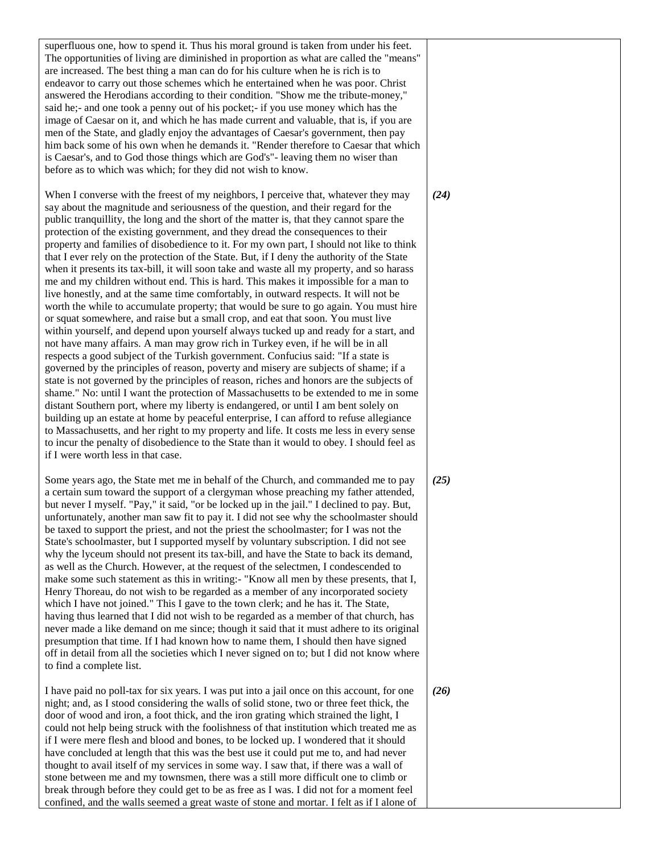| superfluous one, how to spend it. Thus his moral ground is taken from under his feet.<br>The opportunities of living are diminished in proportion as what are called the "means"<br>are increased. The best thing a man can do for his culture when he is rich is to<br>endeavor to carry out those schemes which he entertained when he was poor. Christ<br>answered the Herodians according to their condition. "Show me the tribute-money,"<br>said he;- and one took a penny out of his pocket;- if you use money which has the<br>image of Caesar on it, and which he has made current and valuable, that is, if you are<br>men of the State, and gladly enjoy the advantages of Caesar's government, then pay<br>him back some of his own when he demands it. "Render therefore to Caesar that which<br>is Caesar's, and to God those things which are God's"-leaving them no wiser than<br>before as to which was which; for they did not wish to know.                                                                                                                                                                                                                                                                                                                                                                                                                                                                                                                                                                                                                                                                                                                                                                                                                                                                                                                                                                                                            |      |
|---------------------------------------------------------------------------------------------------------------------------------------------------------------------------------------------------------------------------------------------------------------------------------------------------------------------------------------------------------------------------------------------------------------------------------------------------------------------------------------------------------------------------------------------------------------------------------------------------------------------------------------------------------------------------------------------------------------------------------------------------------------------------------------------------------------------------------------------------------------------------------------------------------------------------------------------------------------------------------------------------------------------------------------------------------------------------------------------------------------------------------------------------------------------------------------------------------------------------------------------------------------------------------------------------------------------------------------------------------------------------------------------------------------------------------------------------------------------------------------------------------------------------------------------------------------------------------------------------------------------------------------------------------------------------------------------------------------------------------------------------------------------------------------------------------------------------------------------------------------------------------------------------------------------------------------------------------------------------|------|
| When I converse with the freest of my neighbors, I perceive that, whatever they may<br>say about the magnitude and seriousness of the question, and their regard for the<br>public tranquillity, the long and the short of the matter is, that they cannot spare the<br>protection of the existing government, and they dread the consequences to their<br>property and families of disobedience to it. For my own part, I should not like to think<br>that I ever rely on the protection of the State. But, if I deny the authority of the State<br>when it presents its tax-bill, it will soon take and waste all my property, and so harass<br>me and my children without end. This is hard. This makes it impossible for a man to<br>live honestly, and at the same time comfortably, in outward respects. It will not be<br>worth the while to accumulate property; that would be sure to go again. You must hire<br>or squat somewhere, and raise but a small crop, and eat that soon. You must live<br>within yourself, and depend upon yourself always tucked up and ready for a start, and<br>not have many affairs. A man may grow rich in Turkey even, if he will be in all<br>respects a good subject of the Turkish government. Confucius said: "If a state is<br>governed by the principles of reason, poverty and misery are subjects of shame; if a<br>state is not governed by the principles of reason, riches and honors are the subjects of<br>shame." No: until I want the protection of Massachusetts to be extended to me in some<br>distant Southern port, where my liberty is endangered, or until I am bent solely on<br>building up an estate at home by peaceful enterprise, I can afford to refuse allegiance<br>to Massachusetts, and her right to my property and life. It costs me less in every sense<br>to incur the penalty of disobedience to the State than it would to obey. I should feel as<br>if I were worth less in that case. | (24) |
| Some years ago, the State met me in behalf of the Church, and commanded me to pay<br>a certain sum toward the support of a clergyman whose preaching my father attended,<br>but never I myself. "Pay," it said, "or be locked up in the jail." I declined to pay. But,<br>unfortunately, another man saw fit to pay it. I did not see why the schoolmaster should<br>be taxed to support the priest, and not the priest the schoolmaster; for I was not the<br>State's schoolmaster, but I supported myself by voluntary subscription. I did not see<br>why the lyceum should not present its tax-bill, and have the State to back its demand,<br>as well as the Church. However, at the request of the selectmen, I condescended to<br>make some such statement as this in writing:- "Know all men by these presents, that I,<br>Henry Thoreau, do not wish to be regarded as a member of any incorporated society<br>which I have not joined." This I gave to the town clerk; and he has it. The State,<br>having thus learned that I did not wish to be regarded as a member of that church, has<br>never made a like demand on me since; though it said that it must adhere to its original<br>presumption that time. If I had known how to name them, I should then have signed<br>off in detail from all the societies which I never signed on to; but I did not know where<br>to find a complete list.                                                                                                                                                                                                                                                                                                                                                                                                                                                                                                                                                             | (25) |
| I have paid no poll-tax for six years. I was put into a jail once on this account, for one<br>night; and, as I stood considering the walls of solid stone, two or three feet thick, the<br>door of wood and iron, a foot thick, and the iron grating which strained the light, I<br>could not help being struck with the foolishness of that institution which treated me as<br>if I were mere flesh and blood and bones, to be locked up. I wondered that it should<br>have concluded at length that this was the best use it could put me to, and had never<br>thought to avail itself of my services in some way. I saw that, if there was a wall of<br>stone between me and my townsmen, there was a still more difficult one to climb or<br>break through before they could get to be as free as I was. I did not for a moment feel<br>confined, and the walls seemed a great waste of stone and mortar. I felt as if I alone of                                                                                                                                                                                                                                                                                                                                                                                                                                                                                                                                                                                                                                                                                                                                                                                                                                                                                                                                                                                                                                     | (26) |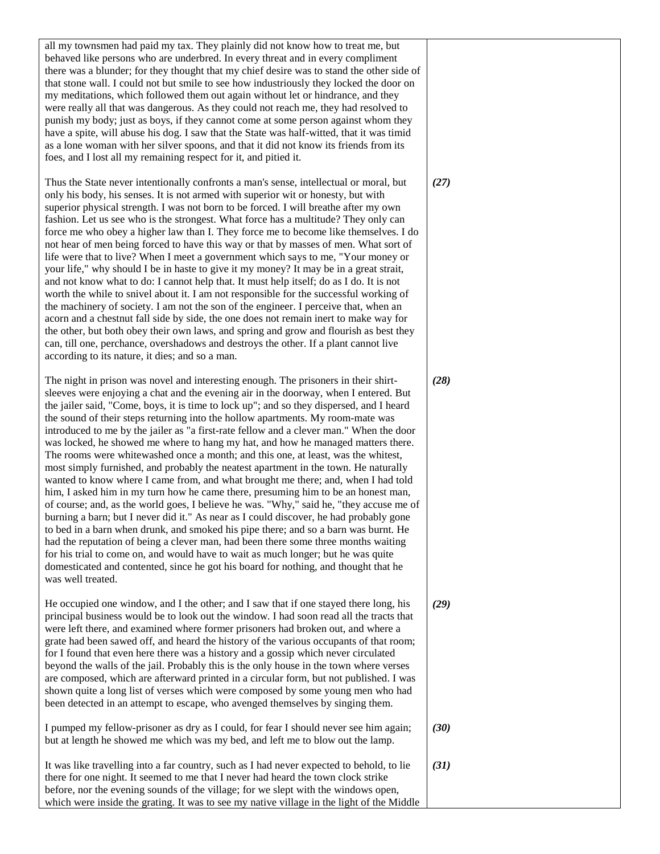| all my townsmen had paid my tax. They plainly did not know how to treat me, but<br>behaved like persons who are underbred. In every threat and in every compliment<br>there was a blunder; for they thought that my chief desire was to stand the other side of<br>that stone wall. I could not but smile to see how industriously they locked the door on<br>my meditations, which followed them out again without let or hindrance, and they<br>were really all that was dangerous. As they could not reach me, they had resolved to<br>punish my body; just as boys, if they cannot come at some person against whom they<br>have a spite, will abuse his dog. I saw that the State was half-witted, that it was timid<br>as a lone woman with her silver spoons, and that it did not know its friends from its<br>foes, and I lost all my remaining respect for it, and pitied it.                                                                                                                                                                                                                                                                                                                                                                                                                                                                                                                                                                             |      |
|--------------------------------------------------------------------------------------------------------------------------------------------------------------------------------------------------------------------------------------------------------------------------------------------------------------------------------------------------------------------------------------------------------------------------------------------------------------------------------------------------------------------------------------------------------------------------------------------------------------------------------------------------------------------------------------------------------------------------------------------------------------------------------------------------------------------------------------------------------------------------------------------------------------------------------------------------------------------------------------------------------------------------------------------------------------------------------------------------------------------------------------------------------------------------------------------------------------------------------------------------------------------------------------------------------------------------------------------------------------------------------------------------------------------------------------------------------------------|------|
| Thus the State never intentionally confronts a man's sense, intellectual or moral, but<br>only his body, his senses. It is not armed with superior wit or honesty, but with<br>superior physical strength. I was not born to be forced. I will breathe after my own<br>fashion. Let us see who is the strongest. What force has a multitude? They only can<br>force me who obey a higher law than I. They force me to become like themselves. I do<br>not hear of men being forced to have this way or that by masses of men. What sort of<br>life were that to live? When I meet a government which says to me, "Your money or<br>your life," why should I be in haste to give it my money? It may be in a great strait,<br>and not know what to do: I cannot help that. It must help itself; do as I do. It is not<br>worth the while to snivel about it. I am not responsible for the successful working of<br>the machinery of society. I am not the son of the engineer. I perceive that, when an<br>acorn and a chestnut fall side by side, the one does not remain inert to make way for<br>the other, but both obey their own laws, and spring and grow and flourish as best they<br>can, till one, perchance, overshadows and destroys the other. If a plant cannot live<br>according to its nature, it dies; and so a man.                                                                                                                               | (27) |
| The night in prison was novel and interesting enough. The prisoners in their shirt-<br>sleeves were enjoying a chat and the evening air in the doorway, when I entered. But<br>the jailer said, "Come, boys, it is time to lock up"; and so they dispersed, and I heard<br>the sound of their steps returning into the hollow apartments. My room-mate was<br>introduced to me by the jailer as "a first-rate fellow and a clever man." When the door<br>was locked, he showed me where to hang my hat, and how he managed matters there.<br>The rooms were whitewashed once a month; and this one, at least, was the whitest,<br>most simply furnished, and probably the neatest apartment in the town. He naturally<br>wanted to know where I came from, and what brought me there; and, when I had told<br>him, I asked him in my turn how he came there, presuming him to be an honest man,<br>of course; and, as the world goes, I believe he was. "Why," said he, "they accuse me of<br>burning a barn; but I never did it." As near as I could discover, he had probably gone<br>to bed in a barn when drunk, and smoked his pipe there; and so a barn was burnt. He<br>had the reputation of being a clever man, had been there some three months waiting<br>for his trial to come on, and would have to wait as much longer; but he was quite<br>domesticated and contented, since he got his board for nothing, and thought that he<br>was well treated. | (28) |
| He occupied one window, and I the other; and I saw that if one stayed there long, his<br>principal business would be to look out the window. I had soon read all the tracts that<br>were left there, and examined where former prisoners had broken out, and where a<br>grate had been sawed off, and heard the history of the various occupants of that room;<br>for I found that even here there was a history and a gossip which never circulated<br>beyond the walls of the jail. Probably this is the only house in the town where verses<br>are composed, which are afterward printed in a circular form, but not published. I was<br>shown quite a long list of verses which were composed by some young men who had<br>been detected in an attempt to escape, who avenged themselves by singing them.                                                                                                                                                                                                                                                                                                                                                                                                                                                                                                                                                                                                                                                      | (29) |
| I pumped my fellow-prisoner as dry as I could, for fear I should never see him again;<br>but at length he showed me which was my bed, and left me to blow out the lamp.                                                                                                                                                                                                                                                                                                                                                                                                                                                                                                                                                                                                                                                                                                                                                                                                                                                                                                                                                                                                                                                                                                                                                                                                                                                                                            | (30) |
| It was like travelling into a far country, such as I had never expected to behold, to lie<br>there for one night. It seemed to me that I never had heard the town clock strike<br>before, nor the evening sounds of the village; for we slept with the windows open,<br>which were inside the grating. It was to see my native village in the light of the Middle                                                                                                                                                                                                                                                                                                                                                                                                                                                                                                                                                                                                                                                                                                                                                                                                                                                                                                                                                                                                                                                                                                  | (31) |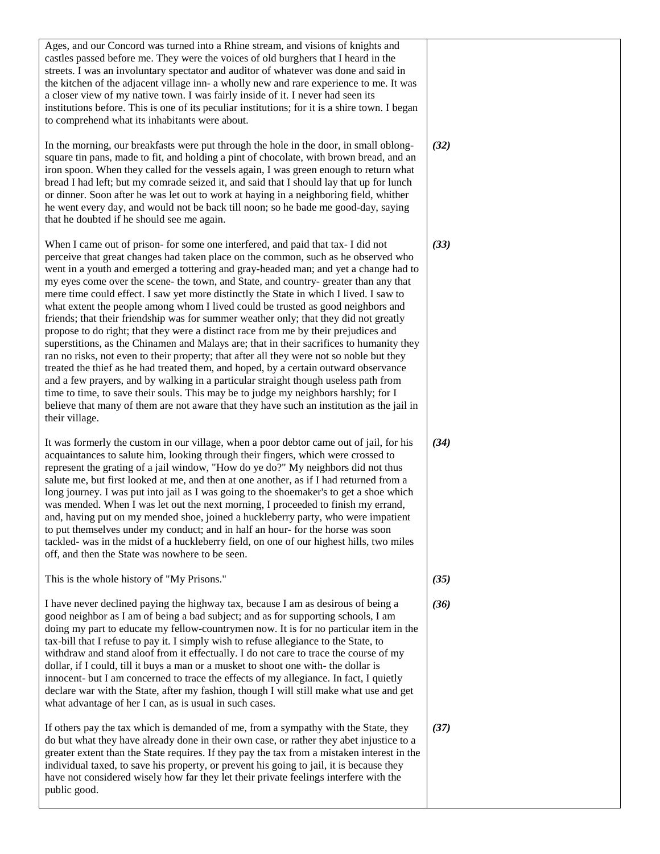| Ages, and our Concord was turned into a Rhine stream, and visions of knights and<br>castles passed before me. They were the voices of old burghers that I heard in the<br>streets. I was an involuntary spectator and auditor of whatever was done and said in<br>the kitchen of the adjacent village inn- a wholly new and rare experience to me. It was<br>a closer view of my native town. I was fairly inside of it. I never had seen its<br>institutions before. This is one of its peculiar institutions; for it is a shire town. I began<br>to comprehend what its inhabitants were about.                                                                                                                                                                                                                                                                                                                                                                                                                                                                                                                                                                                                                                                                                                 |      |
|---------------------------------------------------------------------------------------------------------------------------------------------------------------------------------------------------------------------------------------------------------------------------------------------------------------------------------------------------------------------------------------------------------------------------------------------------------------------------------------------------------------------------------------------------------------------------------------------------------------------------------------------------------------------------------------------------------------------------------------------------------------------------------------------------------------------------------------------------------------------------------------------------------------------------------------------------------------------------------------------------------------------------------------------------------------------------------------------------------------------------------------------------------------------------------------------------------------------------------------------------------------------------------------------------|------|
| In the morning, our breakfasts were put through the hole in the door, in small oblong-<br>square tin pans, made to fit, and holding a pint of chocolate, with brown bread, and an<br>iron spoon. When they called for the vessels again, I was green enough to return what<br>bread I had left; but my comrade seized it, and said that I should lay that up for lunch<br>or dinner. Soon after he was let out to work at haying in a neighboring field, whither<br>he went every day, and would not be back till noon; so he bade me good-day, saying<br>that he doubted if he should see me again.                                                                                                                                                                                                                                                                                                                                                                                                                                                                                                                                                                                                                                                                                              | (32) |
| When I came out of prison- for some one interfered, and paid that tax- I did not<br>perceive that great changes had taken place on the common, such as he observed who<br>went in a youth and emerged a tottering and gray-headed man; and yet a change had to<br>my eyes come over the scene- the town, and State, and country- greater than any that<br>mere time could effect. I saw yet more distinctly the State in which I lived. I saw to<br>what extent the people among whom I lived could be trusted as good neighbors and<br>friends; that their friendship was for summer weather only; that they did not greatly<br>propose to do right; that they were a distinct race from me by their prejudices and<br>superstitions, as the Chinamen and Malays are; that in their sacrifices to humanity they<br>ran no risks, not even to their property; that after all they were not so noble but they<br>treated the thief as he had treated them, and hoped, by a certain outward observance<br>and a few prayers, and by walking in a particular straight though useless path from<br>time to time, to save their souls. This may be to judge my neighbors harshly; for I<br>believe that many of them are not aware that they have such an institution as the jail in<br>their village. | (33) |
| It was formerly the custom in our village, when a poor debtor came out of jail, for his<br>acquaintances to salute him, looking through their fingers, which were crossed to<br>represent the grating of a jail window, "How do ye do?" My neighbors did not thus<br>salute me, but first looked at me, and then at one another, as if I had returned from a<br>long journey. I was put into jail as I was going to the shoemaker's to get a shoe which<br>was mended. When I was let out the next morning, I proceeded to finish my errand,<br>and, having put on my mended shoe, joined a huckleberry party, who were impatient<br>to put themselves under my conduct; and in half an hour- for the horse was soon<br>tackled- was in the midst of a huckleberry field, on one of our highest hills, two miles<br>off, and then the State was nowhere to be seen.                                                                                                                                                                                                                                                                                                                                                                                                                               | (34) |
| This is the whole history of "My Prisons."                                                                                                                                                                                                                                                                                                                                                                                                                                                                                                                                                                                                                                                                                                                                                                                                                                                                                                                                                                                                                                                                                                                                                                                                                                                        | (35) |
| I have never declined paying the highway tax, because I am as desirous of being a<br>good neighbor as I am of being a bad subject; and as for supporting schools, I am<br>doing my part to educate my fellow-countrymen now. It is for no particular item in the<br>tax-bill that I refuse to pay it. I simply wish to refuse allegiance to the State, to<br>withdraw and stand aloof from it effectually. I do not care to trace the course of my<br>dollar, if I could, till it buys a man or a musket to shoot one with- the dollar is<br>innocent- but I am concerned to trace the effects of my allegiance. In fact, I quietly<br>declare war with the State, after my fashion, though I will still make what use and get<br>what advantage of her I can, as is usual in such cases.                                                                                                                                                                                                                                                                                                                                                                                                                                                                                                         | (36) |
| If others pay the tax which is demanded of me, from a sympathy with the State, they<br>do but what they have already done in their own case, or rather they abet injustice to a<br>greater extent than the State requires. If they pay the tax from a mistaken interest in the<br>individual taxed, to save his property, or prevent his going to jail, it is because they<br>have not considered wisely how far they let their private feelings interfere with the<br>public good.                                                                                                                                                                                                                                                                                                                                                                                                                                                                                                                                                                                                                                                                                                                                                                                                               | (37) |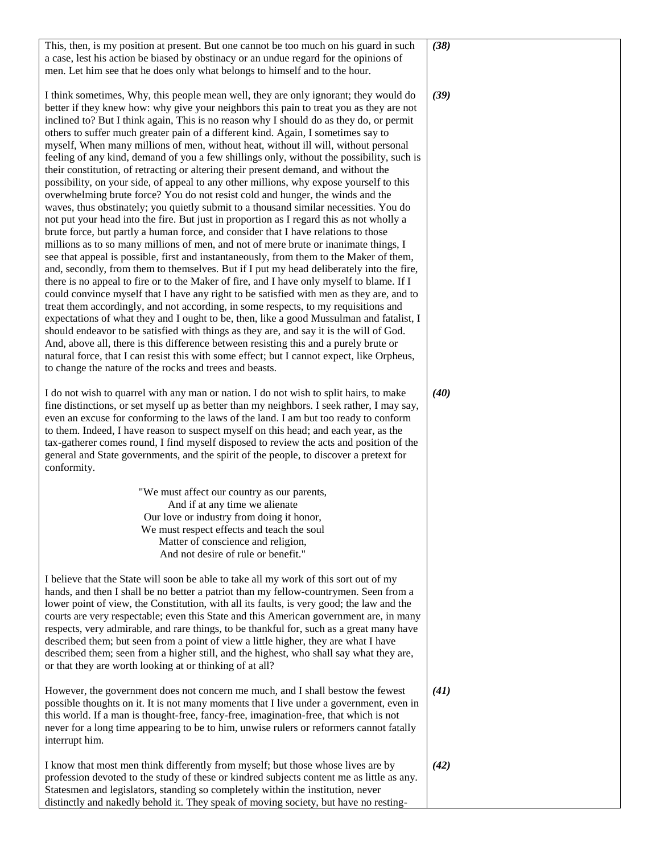| This, then, is my position at present. But one cannot be too much on his guard in such     | (38) |
|--------------------------------------------------------------------------------------------|------|
| a case, lest his action be biased by obstinacy or an undue regard for the opinions of      |      |
| men. Let him see that he does only what belongs to himself and to the hour.                |      |
|                                                                                            |      |
| I think sometimes, Why, this people mean well, they are only ignorant; they would do       | (39) |
|                                                                                            |      |
| better if they knew how: why give your neighbors this pain to treat you as they are not    |      |
| inclined to? But I think again, This is no reason why I should do as they do, or permit    |      |
| others to suffer much greater pain of a different kind. Again, I sometimes say to          |      |
| myself, When many millions of men, without heat, without ill will, without personal        |      |
| feeling of any kind, demand of you a few shillings only, without the possibility, such is  |      |
| their constitution, of retracting or altering their present demand, and without the        |      |
| possibility, on your side, of appeal to any other millions, why expose yourself to this    |      |
| overwhelming brute force? You do not resist cold and hunger, the winds and the             |      |
| waves, thus obstinately; you quietly submit to a thousand similar necessities. You do      |      |
| not put your head into the fire. But just in proportion as I regard this as not wholly a   |      |
| brute force, but partly a human force, and consider that I have relations to those         |      |
| millions as to so many millions of men, and not of mere brute or inanimate things, I       |      |
|                                                                                            |      |
| see that appeal is possible, first and instantaneously, from them to the Maker of them,    |      |
| and, secondly, from them to themselves. But if I put my head deliberately into the fire,   |      |
| there is no appeal to fire or to the Maker of fire, and I have only myself to blame. If I  |      |
| could convince myself that I have any right to be satisfied with men as they are, and to   |      |
| treat them accordingly, and not according, in some respects, to my requisitions and        |      |
| expectations of what they and I ought to be, then, like a good Mussulman and fatalist, I   |      |
| should endeavor to be satisfied with things as they are, and say it is the will of God.    |      |
| And, above all, there is this difference between resisting this and a purely brute or      |      |
| natural force, that I can resist this with some effect; but I cannot expect, like Orpheus, |      |
| to change the nature of the rocks and trees and beasts.                                    |      |
|                                                                                            |      |
| I do not wish to quarrel with any man or nation. I do not wish to split hairs, to make     | (40) |
|                                                                                            |      |
| fine distinctions, or set myself up as better than my neighbors. I seek rather, I may say, |      |
| even an excuse for conforming to the laws of the land. I am but too ready to conform       |      |
| to them. Indeed, I have reason to suspect myself on this head; and each year, as the       |      |
| tax-gatherer comes round, I find myself disposed to review the acts and position of the    |      |
| general and State governments, and the spirit of the people, to discover a pretext for     |      |
| conformity.                                                                                |      |
|                                                                                            |      |
| "We must affect our country as our parents,                                                |      |
| And if at any time we alienate                                                             |      |
| Our love or industry from doing it honor,                                                  |      |
| We must respect effects and teach the soul                                                 |      |
| Matter of conscience and religion,                                                         |      |
| And not desire of rule or benefit."                                                        |      |
|                                                                                            |      |
|                                                                                            |      |
| I believe that the State will soon be able to take all my work of this sort out of my      |      |
| hands, and then I shall be no better a patriot than my fellow-countrymen. Seen from a      |      |
| lower point of view, the Constitution, with all its faults, is very good; the law and the  |      |
| courts are very respectable; even this State and this American government are, in many     |      |
| respects, very admirable, and rare things, to be thankful for, such as a great many have   |      |
| described them; but seen from a point of view a little higher, they are what I have        |      |
| described them; seen from a higher still, and the highest, who shall say what they are,    |      |
| or that they are worth looking at or thinking of at all?                                   |      |
|                                                                                            |      |
| However, the government does not concern me much, and I shall bestow the fewest            | (41) |
| possible thoughts on it. It is not many moments that I live under a government, even in    |      |
|                                                                                            |      |
| this world. If a man is thought-free, fancy-free, imagination-free, that which is not      |      |
| never for a long time appearing to be to him, unwise rulers or reformers cannot fatally    |      |
| interrupt him.                                                                             |      |
|                                                                                            |      |
| I know that most men think differently from myself; but those whose lives are by           | (42) |
| profession devoted to the study of these or kindred subjects content me as little as any.  |      |
| Statesmen and legislators, standing so completely within the institution, never            |      |
| distinctly and nakedly behold it. They speak of moving society, but have no resting-       |      |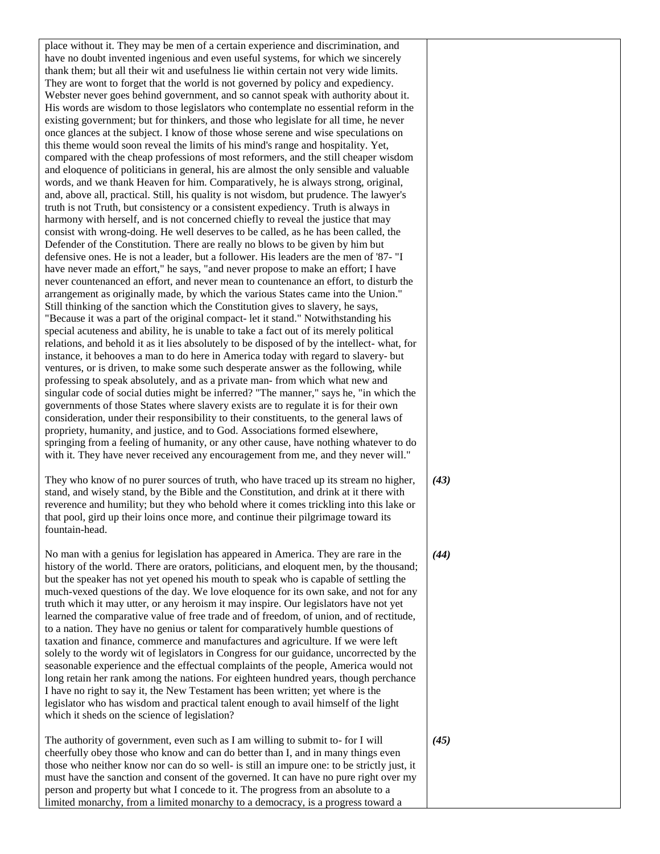place without it. They may be men of a certain experience and discrimination, and have no doubt invented ingenious and even useful systems, for which we sincerely thank them; but all their wit and usefulness lie within certain not very wide limits. They are wont to forget that the world is not governed by policy and expediency. Webster never goes behind government, and so cannot speak with authority about it. His words are wisdom to those legislators who contemplate no essential reform in the existing government; but for thinkers, and those who legislate for all time, he never once glances at the subject. I know of those whose serene and wise speculations on this theme would soon reveal the limits of his mind's range and hospitality. Yet, compared with the cheap professions of most reformers, and the still cheaper wisdom and eloquence of politicians in general, his are almost the only sensible and valuable words, and we thank Heaven for him. Comparatively, he is always strong, original, and, above all, practical. Still, his quality is not wisdom, but prudence. The lawyer's truth is not Truth, but consistency or a consistent expediency. Truth is always in harmony with herself, and is not concerned chiefly to reveal the justice that may consist with wrong-doing. He well deserves to be called, as he has been called, the Defender of the Constitution. There are really no blows to be given by him but defensive ones. He is not a leader, but a follower. His leaders are the men of '87- "I have never made an effort," he says, "and never propose to make an effort; I have never countenanced an effort, and never mean to countenance an effort, to disturb the arrangement as originally made, by which the various States came into the Union." Still thinking of the sanction which the Constitution gives to slavery, he says, "Because it was a part of the original compact- let it stand." Notwithstanding his special acuteness and ability, he is unable to take a fact out of its merely political relations, and behold it as it lies absolutely to be disposed of by the intellect- what, for instance, it behooves a man to do here in America today with regard to slavery- but ventures, or is driven, to make some such desperate answer as the following, while professing to speak absolutely, and as a private man- from which what new and singular code of social duties might be inferred? "The manner," says he, "in which the governments of those States where slavery exists are to regulate it is for their own consideration, under their responsibility to their constituents, to the general laws of propriety, humanity, and justice, and to God. Associations formed elsewhere, springing from a feeling of humanity, or any other cause, have nothing whatever to do with it. They have never received any encouragement from me, and they never will." They who know of no purer sources of truth, who have traced up its stream no higher, stand, and wisely stand, by the Bible and the Constitution, and drink at it there with reverence and humility; but they who behold where it comes trickling into this lake or that pool, gird up their loins once more, and continue their pilgrimage toward its fountain-head. No man with a genius for legislation has appeared in America. They are rare in the history of the world. There are orators, politicians, and eloquent men, by the thousand; but the speaker has not yet opened his mouth to speak who is capable of settling the much-vexed questions of the day. We love eloquence for its own sake, and not for any truth which it may utter, or any heroism it may inspire. Our legislators have not yet learned the comparative value of free trade and of freedom, of union, and of rectitude, to a nation. They have no genius or talent for comparatively humble questions of taxation and finance, commerce and manufactures and agriculture. If we were left

solely to the wordy wit of legislators in Congress for our guidance, uncorrected by the seasonable experience and the effectual complaints of the people, America would not long retain her rank among the nations. For eighteen hundred years, though perchance I have no right to say it, the New Testament has been written; yet where is the legislator who has wisdom and practical talent enough to avail himself of the light which it sheds on the science of legislation?

The authority of government, even such as I am willing to submit to- for I will cheerfully obey those who know and can do better than I, and in many things even those who neither know nor can do so well- is still an impure one: to be strictly just, it must have the sanction and consent of the governed. It can have no pure right over my person and property but what I concede to it. The progress from an absolute to a limited monarchy, from a limited monarchy to a democracy, is a progress toward a

*(44)*

*(43)*

*(45)*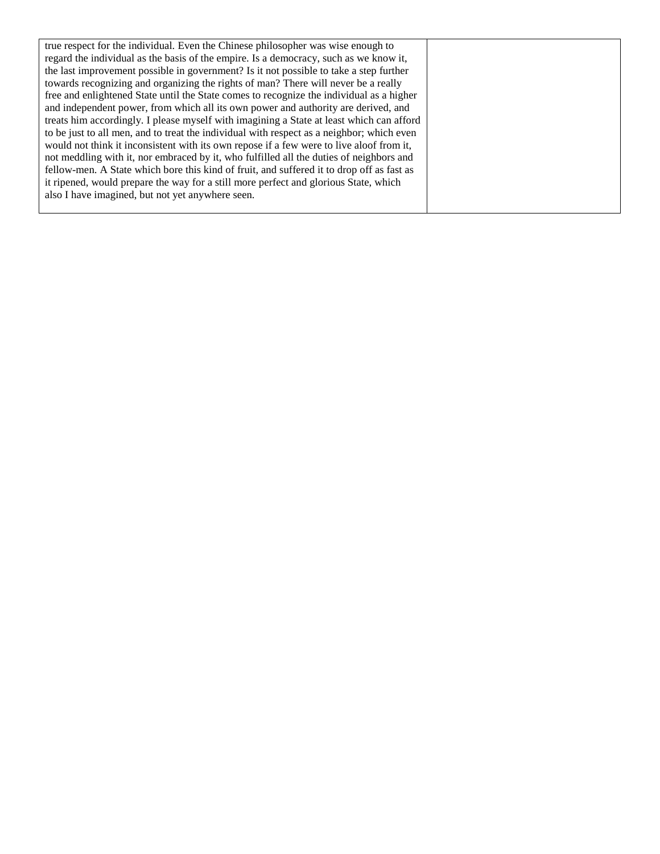| true respect for the individual. Even the Chinese philosopher was wise enough to          |
|-------------------------------------------------------------------------------------------|
| regard the individual as the basis of the empire. Is a democracy, such as we know it,     |
| the last improvement possible in government? Is it not possible to take a step further    |
| towards recognizing and organizing the rights of man? There will never be a really        |
| free and enlightened State until the State comes to recognize the individual as a higher  |
| and independent power, from which all its own power and authority are derived, and        |
| treats him accordingly. I please myself with imagining a State at least which can afford  |
| to be just to all men, and to treat the individual with respect as a neighbor; which even |
| would not think it inconsistent with its own repose if a few were to live aloof from it,  |
| not meddling with it, nor embraced by it, who fulfilled all the duties of neighbors and   |
| fellow-men. A State which bore this kind of fruit, and suffered it to drop off as fast as |
| it ripened, would prepare the way for a still more perfect and glorious State, which      |
| also I have imagined, but not yet anywhere seen.                                          |
|                                                                                           |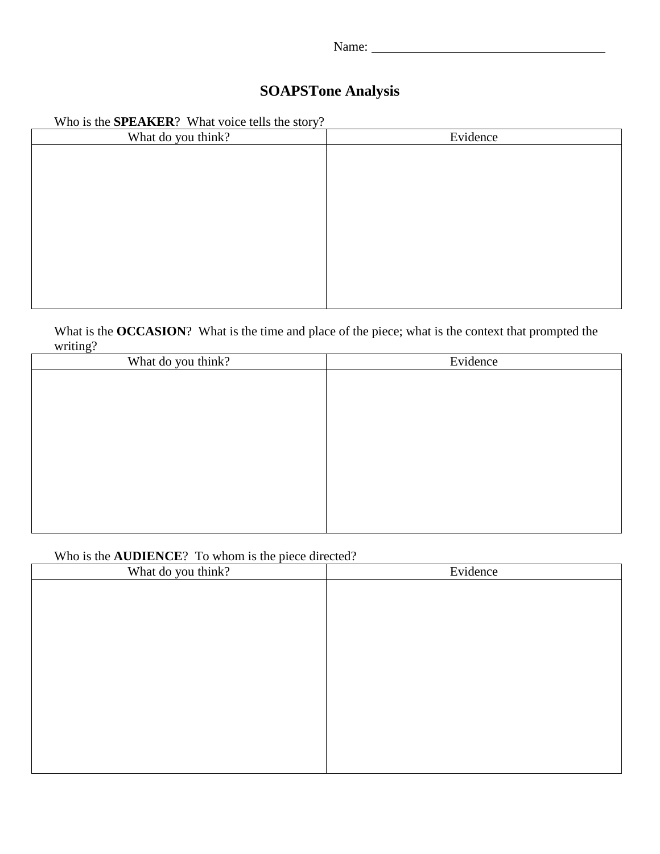# **SOAPSTone Analysis**

|  | Who is the <b>SPEAKER</b> ? What voice tells the story? |
|--|---------------------------------------------------------|
|--|---------------------------------------------------------|

| What do you think? | Evidence |
|--------------------|----------|
|                    |          |
|                    |          |
|                    |          |
|                    |          |
|                    |          |
|                    |          |
|                    |          |
|                    |          |
|                    |          |
|                    |          |

What is the **OCCASION**? What is the time and place of the piece; what is the context that prompted the writing?

| ັ<br>What do you think? | Evidence |
|-------------------------|----------|
|                         |          |
|                         |          |
|                         |          |
|                         |          |
|                         |          |
|                         |          |
|                         |          |
|                         |          |
|                         |          |
|                         |          |

## Who is the **AUDIENCE**? To whom is the piece directed?

| What do you think? | Evidence |
|--------------------|----------|
|                    |          |
|                    |          |
|                    |          |
|                    |          |
|                    |          |
|                    |          |
|                    |          |
|                    |          |
|                    |          |
|                    |          |
|                    |          |
|                    |          |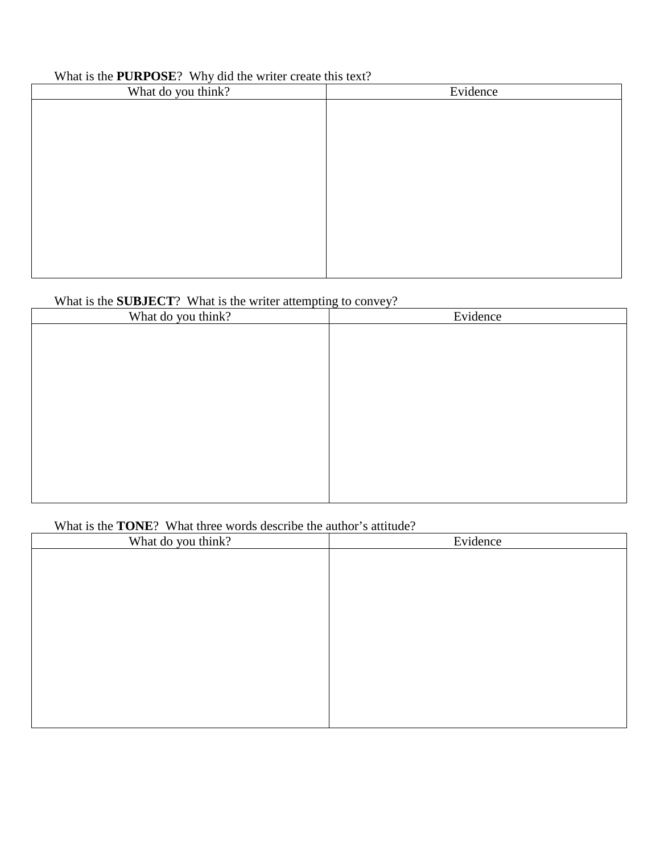## What is the **PURPOSE**? Why did the writer create this text?

| What do you think? | Evidence |
|--------------------|----------|
|                    |          |
|                    |          |
|                    |          |
|                    |          |
|                    |          |
|                    |          |
|                    |          |
|                    |          |
|                    |          |
|                    |          |
|                    |          |

# What is the **SUBJECT**? What is the writer attempting to convey?

| What do you think? | Evidence |
|--------------------|----------|
|                    |          |
|                    |          |
|                    |          |
|                    |          |
|                    |          |
|                    |          |
|                    |          |
|                    |          |
|                    |          |
|                    |          |
|                    |          |
|                    |          |

## What is the **TONE**? What three words describe the author's attitude?

| What do you think? | Evidence |
|--------------------|----------|
|                    |          |
|                    |          |
|                    |          |
|                    |          |
|                    |          |
|                    |          |
|                    |          |
|                    |          |
|                    |          |
|                    |          |
|                    |          |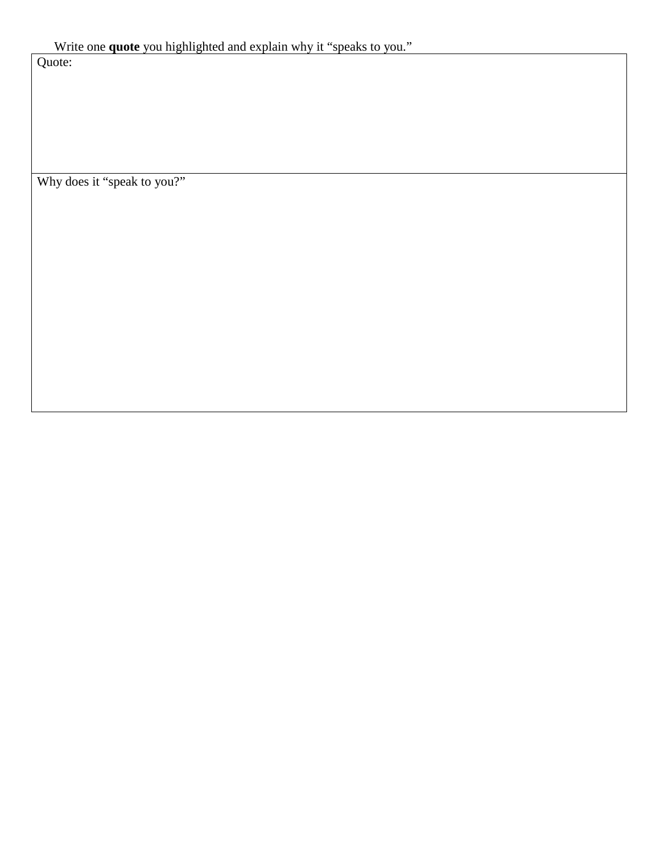Quote:

Why does it "speak to you?"